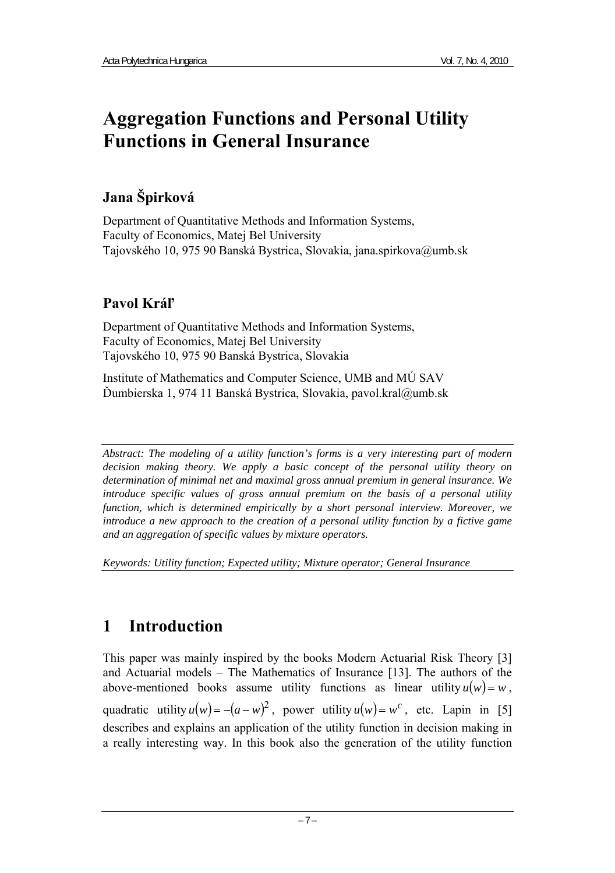# **Aggregation Functions and Personal Utility Functions in General Insurance**

## **Jana Špirková**

Department of Quantitative Methods and Information Systems, Faculty of Economics, Matej Bel University Tajovského 10, 975 90 Banská Bystrica, Slovakia, jana.spirkova@umb.sk

## **Pavol Kráľ**

Department of Quantitative Methods and Information Systems, Faculty of Economics, Matej Bel University Tajovského 10, 975 90 Banská Bystrica, Slovakia

Institute of Mathematics and Computer Science, UMB and MÚ SAV Ďumbierska 1, 974 11 Banská Bystrica, Slovakia, pavol.kral@umb.sk

*Abstract: The modeling of a utility function's forms is a very interesting part of modern decision making theory. We apply a basic concept of the personal utility theory on determination of minimal net and maximal gross annual premium in general insurance. We introduce specific values of gross annual premium on the basis of a personal utility function, which is determined empirically by a short personal interview. Moreover, we introduce a new approach to the creation of a personal utility function by a fictive game and an aggregation of specific values by mixture operators.* 

*Keywords: Utility function; Expected utility; Mixture operator; General Insurance* 

# **1 Introduction**

This paper was mainly inspired by the books Modern Actuarial Risk Theory [3] and Actuarial models – The Mathematics of Insurance [13]. The authors of the above-mentioned books assume utility functions as linear utility  $u(w) = w$ , quadratic utility  $u(w) = -(a - w)^2$ , power utility  $u(w) = w^c$ , etc. Lapin in [5] describes and explains an application of the utility function in decision making in a really interesting way. In this book also the generation of the utility function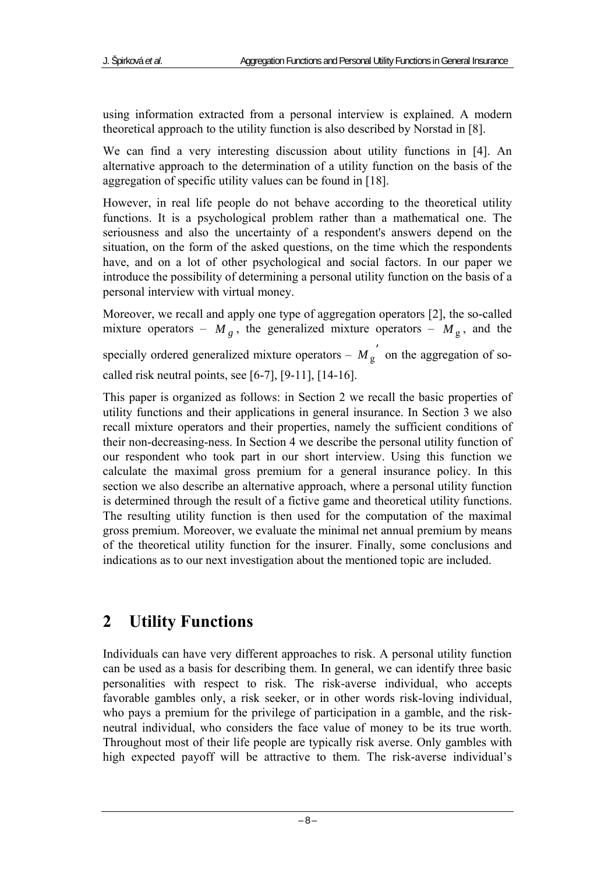using information extracted from a personal interview is explained. A modern theoretical approach to the utility function is also described by Norstad in [8].

We can find a very interesting discussion about utility functions in [4]. An alternative approach to the determination of a utility function on the basis of the aggregation of specific utility values can be found in [18].

However, in real life people do not behave according to the theoretical utility functions. It is a psychological problem rather than a mathematical one. The seriousness and also the uncertainty of a respondent's answers depend on the situation, on the form of the asked questions, on the time which the respondents have, and on a lot of other psychological and social factors. In our paper we introduce the possibility of determining a personal utility function on the basis of a personal interview with virtual money.

Moreover, we recall and apply one type of aggregation operators [2], the so-called mixture operators –  $M_g$ , the generalized mixture operators –  $M_g$ , and the specially ordered generalized mixture operators –  $M_g$  on the aggregation of socalled risk neutral points, see [6-7], [9-11], [14-16].

This paper is organized as follows: in Section 2 we recall the basic properties of utility functions and their applications in general insurance. In Section 3 we also recall mixture operators and their properties, namely the sufficient conditions of their non-decreasing-ness. In Section 4 we describe the personal utility function of our respondent who took part in our short interview. Using this function we calculate the maximal gross premium for a general insurance policy. In this section we also describe an alternative approach, where a personal utility function is determined through the result of a fictive game and theoretical utility functions. The resulting utility function is then used for the computation of the maximal gross premium. Moreover, we evaluate the minimal net annual premium by means of the theoretical utility function for the insurer. Finally, some conclusions and indications as to our next investigation about the mentioned topic are included.

# **2 Utility Functions**

Individuals can have very different approaches to risk. A personal utility function can be used as a basis for describing them. In general, we can identify three basic personalities with respect to risk. The risk-averse individual, who accepts favorable gambles only, a risk seeker, or in other words risk-loving individual, who pays a premium for the privilege of participation in a gamble, and the riskneutral individual, who considers the face value of money to be its true worth. Throughout most of their life people are typically risk averse. Only gambles with high expected payoff will be attractive to them. The risk-averse individual's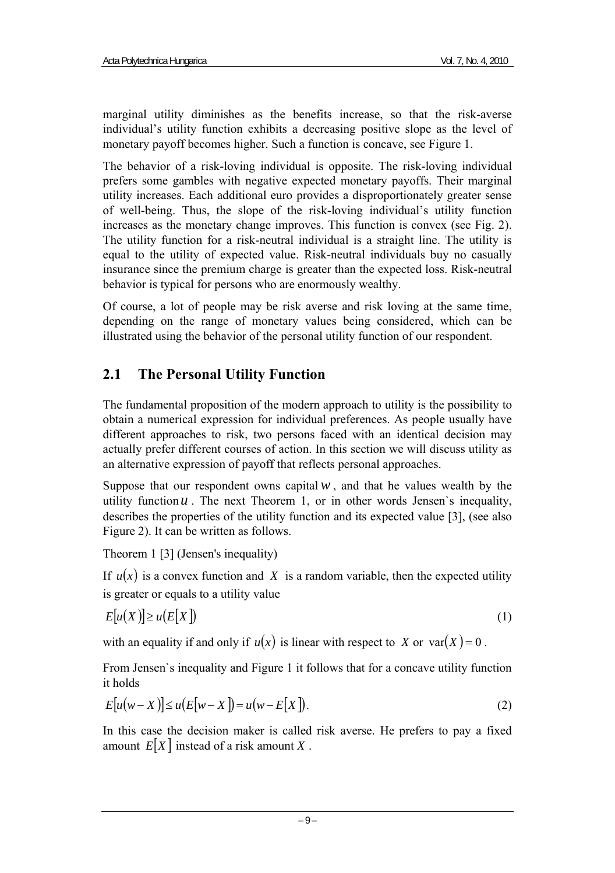marginal utility diminishes as the benefits increase, so that the risk-averse individual's utility function exhibits a decreasing positive slope as the level of monetary payoff becomes higher. Such a function is concave, see Figure 1.

The behavior of a risk-loving individual is opposite. The risk-loving individual prefers some gambles with negative expected monetary payoffs. Their marginal utility increases. Each additional euro provides a disproportionately greater sense of well-being. Thus, the slope of the risk-loving individual's utility function increases as the monetary change improves. This function is convex (see Fig. 2). The utility function for a risk-neutral individual is a straight line. The utility is equal to the utility of expected value. Risk-neutral individuals buy no casually insurance since the premium charge is greater than the expected loss. Risk-neutral behavior is typical for persons who are enormously wealthy.

Of course, a lot of people may be risk averse and risk loving at the same time, depending on the range of monetary values being considered, which can be illustrated using the behavior of the personal utility function of our respondent.

### **2.1 The Personal Utility Function**

The fundamental proposition of the modern approach to utility is the possibility to obtain a numerical expression for individual preferences. As people usually have different approaches to risk, two persons faced with an identical decision may actually prefer different courses of action. In this section we will discuss utility as an alternative expression of payoff that reflects personal approaches.

Suppose that our respondent owns capital  $w$ , and that he values wealth by the utility function  $u$ . The next Theorem 1, or in other words Jensen's inequality, describes the properties of the utility function and its expected value [3], (see also Figure 2). It can be written as follows.

Theorem 1 [3] (Jensen's inequality)

If  $u(x)$  is a convex function and X is a random variable, then the expected utility is greater or equals to a utility value

$$
E[u(X)] \ge u(E[X]) \tag{1}
$$

with an equality if and only if  $u(x)$  is linear with respect to *X* or var $(X) = 0$ .

From Jensen`s inequality and Figure 1 it follows that for a concave utility function it holds

$$
E[u(w-X)] \le u(E[w-X]) = u(w-E[X]).
$$
\n(2)

In this case the decision maker is called risk averse. He prefers to pay a fixed amount  $E[X]$  instead of a risk amount X.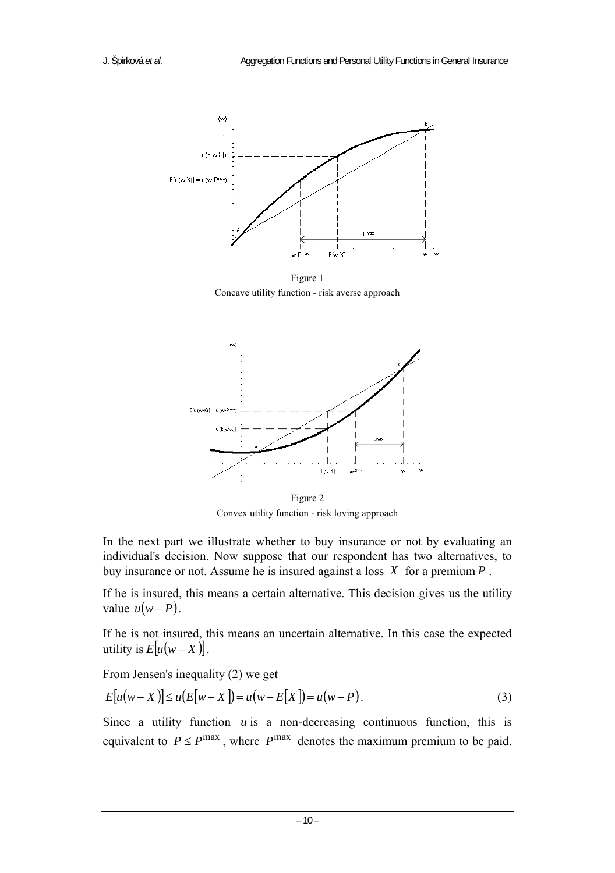

Figure 1 Concave utility function - risk averse approach



Figure 2 Convex utility function - risk loving approach

In the next part we illustrate whether to buy insurance or not by evaluating an individual's decision. Now suppose that our respondent has two alternatives, to buy insurance or not. Assume he is insured against a loss *X* for a premium *P* .

If he is insured, this means a certain alternative. This decision gives us the utility value  $u(w - P)$ .

If he is not insured, this means an uncertain alternative. In this case the expected utility is  $E[u(w-X)].$ 

From Jensen's inequality (2) we get

$$
E[u(w - X)] \le u(E[w - X]) = u(w - E[X]) = u(w - P).
$$
 (3)

Since a utility function  $u$  is a non-decreasing continuous function, this is equivalent to  $P \le P^{\text{max}}$ , where  $P^{\text{max}}$  denotes the maximum premium to be paid.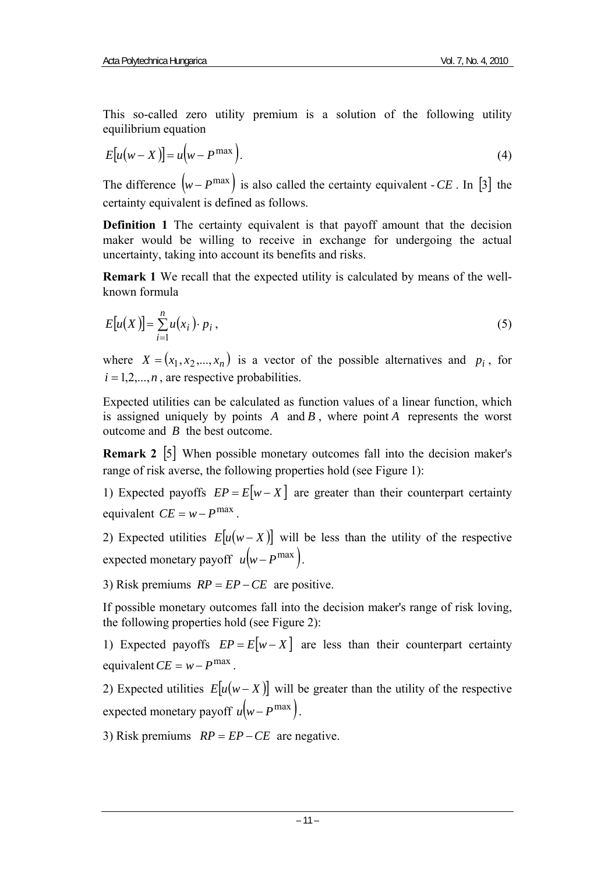This so-called zero utility premium is a solution of the following utility equilibrium equation

$$
E[u(w - X)] = u(w - P^{\max}).
$$
\n(4)

The difference  $(w - P^{\max})$  is also called the certainty equivalent - *CE*. In [3] the certainty equivalent is defined as follows.

**Definition 1** The certainty equivalent is that payoff amount that the decision maker would be willing to receive in exchange for undergoing the actual uncertainty, taking into account its benefits and risks.

**Remark 1** We recall that the expected utility is calculated by means of the wellknown formula

$$
E[u(X)] = \sum_{i=1}^{n} u(x_i) \cdot p_i,
$$
\n(5)

where  $X = (x_1, x_2, ..., x_n)$  is a vector of the possible alternatives and  $p_i$ , for  $i = 1, 2, \ldots, n$ , are respective probabilities.

Expected utilities can be calculated as function values of a linear function, which is assigned uniquely by points *A* and *B* , where point *A* represents the worst outcome and *B* the best outcome.

**Remark 2** [5] When possible monetary outcomes fall into the decision maker's range of risk averse, the following properties hold (see Figure 1):

1) Expected payoffs  $EP = E[w - X]$  are greater than their counterpart certainty equivalent  $CE = w - P^{\max}$ .

2) Expected utilities  $E[u(w-X)]$  will be less than the utility of the respective expected monetary payoff  $u(w - P^{\max})$ .

3) Risk premiums *RP* = *EP* −*CE* are positive.

If possible monetary outcomes fall into the decision maker's range of risk loving, the following properties hold (see Figure 2):

1) Expected payoffs  $EP = E[w - X]$  are less than their counterpart certainty  $\text{equivalent } CE = w - P^{\text{max}}$ 

2) Expected utilities  $E[u(w-X)]$  will be greater than the utility of the respective expected monetary payoff  $u(w - P^{\max})$ .

3) Risk premiums *RP* = *EP* −*CE* are negative.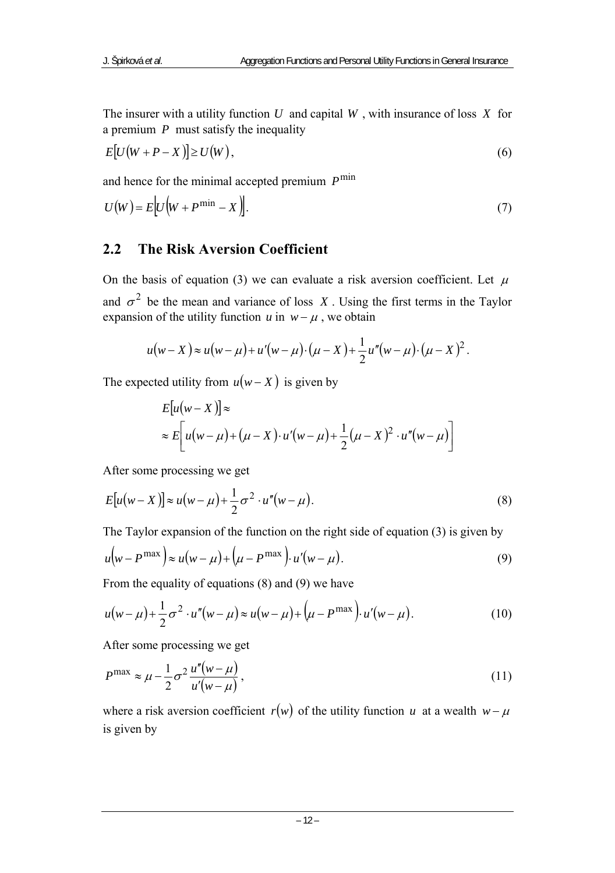The insurer with a utility function *U* and capital *W* , with insurance of loss *X* for a premium *P* must satisfy the inequality

$$
E[U(W + P - X)] \ge U(W),\tag{6}
$$

and hence for the minimal accepted premium  $P^{\min}$ 

$$
U(W) = E[U(W + P^{\min} - X)].
$$
\n(7)

#### **2.2 The Risk Aversion Coefficient**

On the basis of equation (3) we can evaluate a risk aversion coefficient. Let  $\mu$ and  $\sigma^2$  be the mean and variance of loss *X*. Using the first terms in the Taylor expansion of the utility function  $u$  in  $w - \mu$ , we obtain

$$
u(w - X) \approx u(w - \mu) + u'(w - \mu) \cdot (\mu - X) + \frac{1}{2} u''(w - \mu) \cdot (\mu - X)^2.
$$

The expected utility from  $u(w - X)$  is given by

$$
E[u(w-X)] \approx
$$
  
\approx 
$$
E\left[u(w-\mu)+(\mu-X)\cdot u'(w-\mu)+\frac{1}{2}(\mu-X)^2\cdot u''(w-\mu)\right]
$$

After some processing we get

$$
E[u(w-X)] \approx u(w-\mu) + \frac{1}{2}\sigma^2 \cdot u''(w-\mu). \tag{8}
$$

The Taylor expansion of the function on the right side of equation (3) is given by

$$
u(w - P^{\max}) \approx u(w - \mu) + (\mu - P^{\max}) \cdot u'(w - \mu).
$$
 (9)

From the equality of equations (8) and (9) we have

$$
u(w - \mu) + \frac{1}{2}\sigma^2 \cdot u''(w - \mu) \approx u(w - \mu) + (\mu - P^{\max}) \cdot u'(w - \mu).
$$
 (10)

After some processing we get

$$
P^{\max} \approx \mu - \frac{1}{2}\sigma^2 \frac{u''(w-\mu)}{u'(w-\mu)},
$$
\n(11)

where a risk aversion coefficient  $r(w)$  of the utility function *u* at a wealth  $w - \mu$ is given by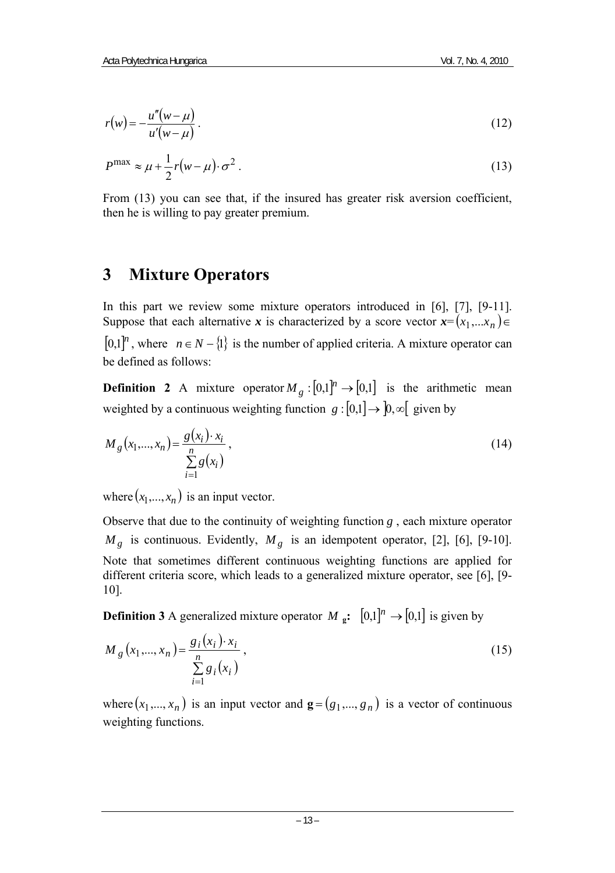$$
r(w) = -\frac{u''(w-\mu)}{u'(w-\mu)}.
$$
 (12)

$$
P^{\max} \approx \mu + \frac{1}{2}r(w - \mu) \cdot \sigma^2
$$
 (13)

From (13) you can see that, if the insured has greater risk aversion coefficient, then he is willing to pay greater premium.

### **3 Mixture Operators**

In this part we review some mixture operators introduced in [6], [7], [9-11]. Suppose that each alternative *x* is characterized by a score vector  $x = (x_1, \ldots, x_n) \in$  $[0,1]^n$ , where  $n \in N - \{1\}$  is the number of applied criteria. A mixture operator can be defined as follows:

**Definition 2** A mixture operator  $M_{\varrho} : [0,1]^n \to [0,1]$  is the arithmetic mean weighted by a continuous weighting function *g* :  $[0,1] \rightarrow [0,\infty]$  given by

$$
M_{g}(x_1,...,x_n) = \frac{g(x_i) \cdot x_i}{\sum_{i=1}^{n} g(x_i)},
$$
\n(14)

where  $(x_1,...,x_n)$  is an input vector.

Observe that due to the continuity of weighting function *g* , each mixture operator  $M_g$  is continuous. Evidently,  $M_g$  is an idempotent operator, [2], [6], [9-10]. Note that sometimes different continuous weighting functions are applied for different criteria score, which leads to a generalized mixture operator, see [6], [9- 10].

**Definition 3** A generalized mixture operator *M* **g:**  $[0,1]^n \rightarrow [0,1]$  is given by

$$
M_{g}\left(x_{1},...,x_{n}\right)=\frac{g_{i}\left(x_{i}\right)\cdot x_{i}}{\sum_{i=1}^{n}g_{i}\left(x_{i}\right)},
$$
\n(15)

where  $(x_1, ..., x_n)$  is an input vector and  $\mathbf{g} = (g_1, ..., g_n)$  is a vector of continuous weighting functions.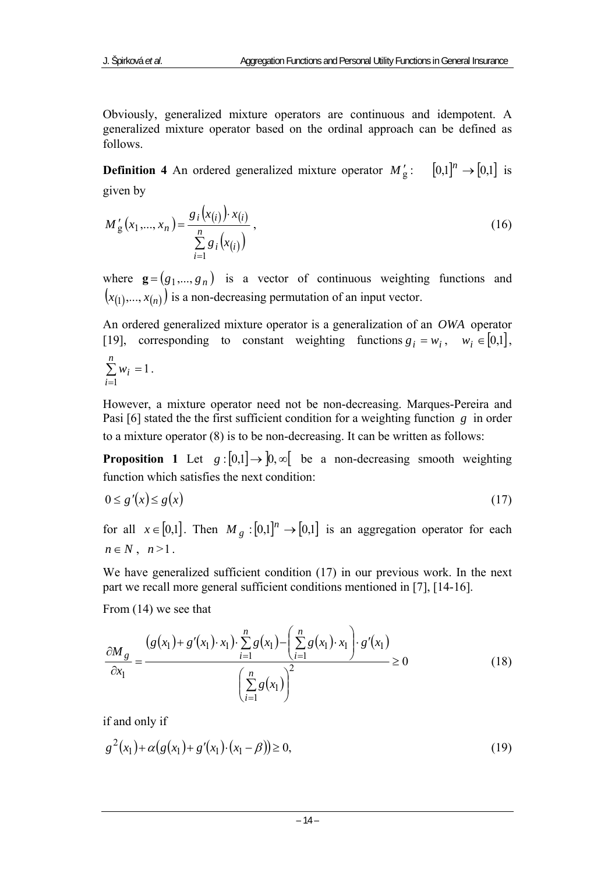Obviously, generalized mixture operators are continuous and idempotent. A generalized mixture operator based on the ordinal approach can be defined as follows.

**Definition 4** An ordered generalized mixture operator  $M'_g$ :  $[0,1]^n \rightarrow [0,1]$  is given by

$$
M'_{g}(x_1,...,x_n) = \frac{g_i(x_{(i)}) \cdot x_{(i)}}{\sum_{i=1}^n g_i(x_{(i)})},
$$
\n(16)

where  $\mathbf{g} = (g_1, \dots, g_n)$  is a vector of continuous weighting functions and  $(x_{(1)},...,x_{(n)})$  is a non-decreasing permutation of an input vector.

An ordered generalized mixture operator is a generalization of an *OWA* operator [19], corresponding to constant weighting functions  $g_i = w_i$ ,  $w_i \in [0,1]$ , 1 1  $\sum w_i =$ = *n*  $\sum_{i=1}$  *w*<sub>*i*</sub> = 1.

However, a mixture operator need not be non-decreasing. Marques-Pereira and Pasi [6] stated the the first sufficient condition for a weighting function *g* in order to a mixture operator (8) is to be non-decreasing. It can be written as follows:

**Proposition 1** Let  $g:[0,1] \to [0,\infty]$  be a non-decreasing smooth weighting function which satisfies the next condition:

$$
0 \le g'(x) \le g(x) \tag{17}
$$

for all  $x \in [0,1]$ . Then  $M_g : [0,1]^n \to [0,1]$  is an aggregation operator for each  $n \in N$ ,  $n>1$ .

We have generalized sufficient condition (17) in our previous work. In the next part we recall more general sufficient conditions mentioned in [7], [14-16].

From (14) we see that

$$
\frac{\partial M_g}{\partial x_1} = \frac{\left(g(x_1) + g'(x_1) \cdot x_1\right) \cdot \sum_{i=1}^n g(x_1) - \left(\sum_{i=1}^n g(x_1) \cdot x_1\right) \cdot g'(x_1)}{\left(\sum_{i=1}^n g(x_1)\right)^2} \ge 0
$$
\n(18)

if and only if

$$
g^{2}(x_{1}) + \alpha(g(x_{1}) + g'(x_{1}) \cdot (x_{1} - \beta)) \ge 0,
$$
\n(19)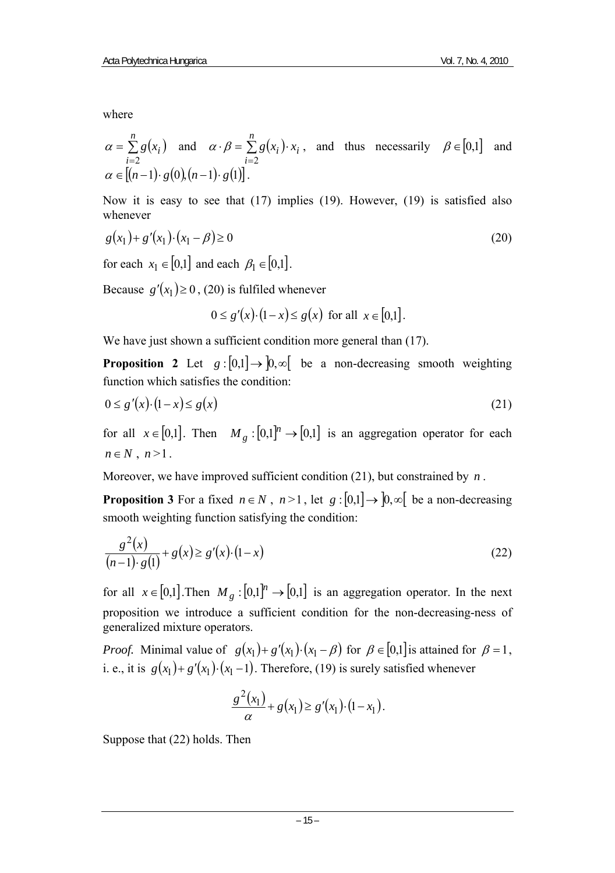where

$$
\alpha = \sum_{i=2}^{n} g(x_i)
$$
 and  $\alpha \cdot \beta = \sum_{i=2}^{n} g(x_i) \cdot x_i$ , and thus necessarily  $\beta \in [0,1]$  and  $\alpha \in [(n-1) \cdot g(0), (n-1) \cdot g(1)].$ 

Now it is easy to see that (17) implies (19). However, (19) is satisfied also whenever

$$
g(x_1) + g'(x_1) \cdot (x_1 - \beta) \ge 0
$$
\n(20)

for each  $x_1 \in [0,1]$  and each  $\beta_1 \in [0,1]$ .

Because  $g'(x_1) \ge 0$ , (20) is fulfiled whenever

0 ≤  $g'(x) \cdot (1-x)$  ≤  $g(x)$  for all  $x \in [0,1]$ .

We have just shown a sufficient condition more general than  $(17)$ .

**Proposition 2** Let  $g:[0,1] \to [0,\infty]$  be a non-decreasing smooth weighting function which satisfies the condition:

$$
0 \le g'(x) \cdot (1-x) \le g(x) \tag{21}
$$

for all  $x \in [0,1]$ . Then  $M_g : [0,1]^n \rightarrow [0,1]$  is an aggregation operator for each  $n \in N$ ,  $n>1$ .

Moreover, we have improved sufficient condition (21), but constrained by *n* .

**Proposition 3** For a fixed  $n \in N$ ,  $n > 1$ , let  $g$  :  $[0,1] \rightarrow [0,\infty]$  be a non-decreasing smooth weighting function satisfying the condition:

$$
\frac{g^{2}(x)}{(n-1)\cdot g(1)} + g(x) \ge g'(x) \cdot (1-x)
$$
\n(22)

for all  $x \in [0,1]$ . Then  $M_{\varrho} : [0,1]^n \to [0,1]$  is an aggregation operator. In the next proposition we introduce a sufficient condition for the non-decreasing-ness of generalized mixture operators.

*Proof.* Minimal value of  $g(x_1)+g'(x_1) \cdot (x_1-\beta)$  for  $\beta \in [0,1]$  is attained for  $\beta = 1$ , i. e., it is  $g(x_1) + g'(x_1) \cdot (x_1 - 1)$ . Therefore, (19) is surely satisfied whenever

$$
\frac{g^{2}(x_{1})}{\alpha}+g(x_{1})\geq g'(x_{1})\cdot(1-x_{1}).
$$

Suppose that (22) holds. Then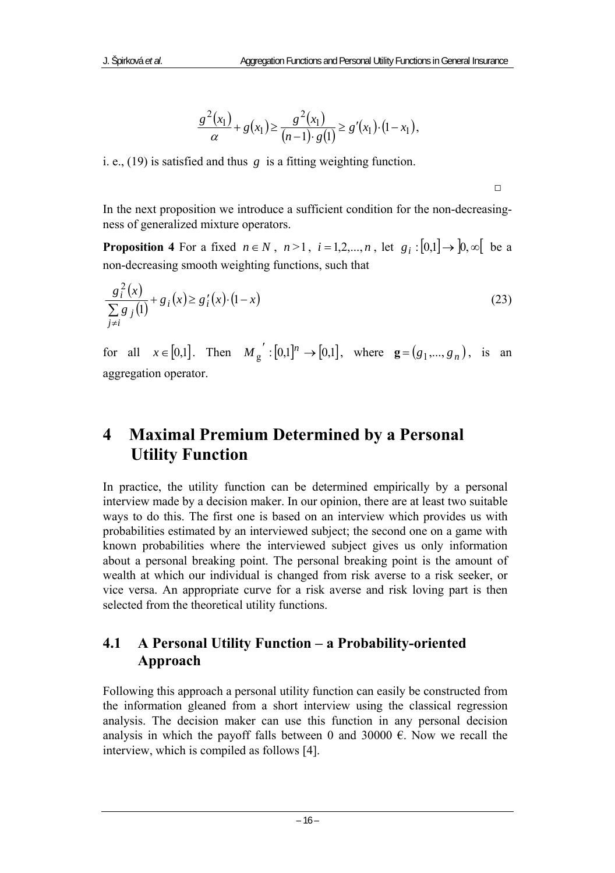$$
\frac{g^{2}(x_{1})}{\alpha}+g(x_{1})\geq \frac{g^{2}(x_{1})}{(n-1)\cdot g(1)}\geq g'(x_{1})\cdot (1-x_{1}),
$$

i. e., (19) is satisfied and thus *g* is a fitting weighting function.

In the next proposition we introduce a sufficient condition for the non-decreasingness of generalized mixture operators.

□

**Proposition 4** For a fixed  $n \in N$ ,  $n > 1$ ,  $i = 1, 2, ..., n$ , let  $g_i : [0,1] \rightarrow [0, \infty]$  be a non-decreasing smooth weighting functions, such that

$$
\frac{g_i^2(x)}{\sum_{j\neq i} g_j(1)} + g_i(x) \ge g'_i(x) \cdot (1-x)
$$
\n(23)

for all  $x \in [0,1]$ . Then  $M_g' : [0,1]^n \to [0,1]$ , where  $g = (g_1, ..., g_n)$ , is an aggregation operator.

## **4 Maximal Premium Determined by a Personal Utility Function**

In practice, the utility function can be determined empirically by a personal interview made by a decision maker. In our opinion, there are at least two suitable ways to do this. The first one is based on an interview which provides us with probabilities estimated by an interviewed subject; the second one on a game with known probabilities where the interviewed subject gives us only information about a personal breaking point. The personal breaking point is the amount of wealth at which our individual is changed from risk averse to a risk seeker, or vice versa. An appropriate curve for a risk averse and risk loving part is then selected from the theoretical utility functions.

### **4.1 A Personal Utility Function – a Probability-oriented Approach**

Following this approach a personal utility function can easily be constructed from the information gleaned from a short interview using the classical regression analysis. The decision maker can use this function in any personal decision analysis in which the payoff falls between 0 and 30000  $\epsilon$ . Now we recall the interview, which is compiled as follows [4].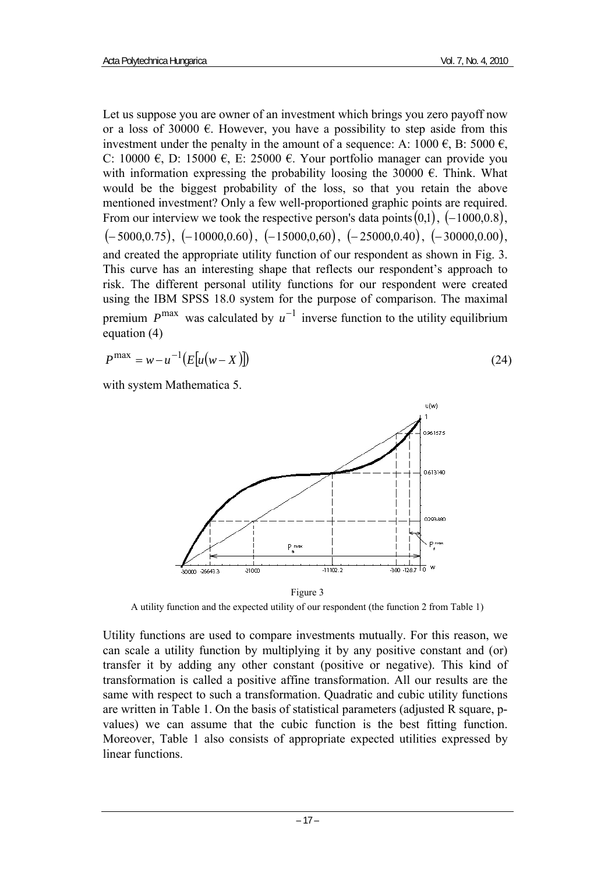Let us suppose you are owner of an investment which brings you zero payoff now or a loss of 30000  $\epsilon$ . However, you have a possibility to step aside from this investment under the penalty in the amount of a sequence: A:  $1000 \in B$ : 5000  $\in$ , C: 10000  $\epsilon$ , D: 15000  $\epsilon$ , E: 25000  $\epsilon$ . Your portfolio manager can provide you with information expressing the probability loosing the 30000  $\epsilon$ . Think. What would be the biggest probability of the loss, so that you retain the above mentioned investment? Only a few well-proportioned graphic points are required. From our interview we took the respective person's data points $(0,1)$ ,  $(-1000,0.8)$ ,  $(-5000,0.75)$ ,  $(-10000,0.60)$ ,  $(-15000,0.60)$ ,  $(-25000,0.40)$ ,  $(-30000,0.00)$ , and created the appropriate utility function of our respondent as shown in Fig. 3. This curve has an interesting shape that reflects our respondent's approach to risk. The different personal utility functions for our respondent were created using the IBM SPSS 18.0 system for the purpose of comparison. The maximal premium  $P^{\text{max}}$  was calculated by  $u^{-1}$  inverse function to the utility equilibrium equation (4)

$$
P^{\max} = w - u^{-1} \big( E[u(w - X)] \big) \tag{24}
$$

with system Mathematica 5.



Figure 3

A utility function and the expected utility of our respondent (the function 2 from Table 1)

Utility functions are used to compare investments mutually. For this reason, we can scale a utility function by multiplying it by any positive constant and (or) transfer it by adding any other constant (positive or negative). This kind of transformation is called a positive affine transformation. All our results are the same with respect to such a transformation. Quadratic and cubic utility functions are written in Table 1. On the basis of statistical parameters (adjusted R square, pvalues) we can assume that the cubic function is the best fitting function. Moreover, Table 1 also consists of appropriate expected utilities expressed by linear functions.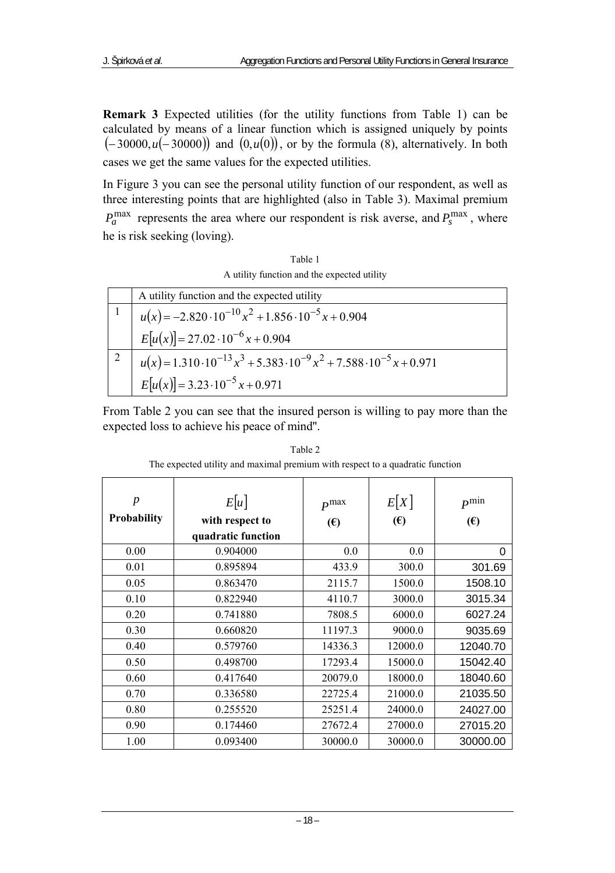**Remark 3** Expected utilities (for the utility functions from Table 1) can be calculated by means of a linear function which is assigned uniquely by points (-30000,*u*(-30000)) and (0,*u*(0)), or by the formula (8), alternatively. In both cases we get the same values for the expected utilities.

In Figure 3 you can see the personal utility function of our respondent, as well as three interesting points that are highlighted (also in Table 3). Maximal premium  $P_a^{\text{max}}$  represents the area where our respondent is risk averse, and  $P_s^{\text{max}}$ , where he is risk seeking (loving).

Table 1 A utility function and the expected utility

|   | A utility function and the expected utility                                                 |
|---|---------------------------------------------------------------------------------------------|
|   | $u(x) = -2.820 \cdot 10^{-10} x^2 + 1.856 \cdot 10^{-5} x + 0.904$                          |
|   | $E[u(x)] = 27.02 \cdot 10^{-6} x + 0.904$                                                   |
| 2 | $u(x) = 1.310 \cdot 10^{-13} x^3 + 5.383 \cdot 10^{-9} x^2 + 7.588 \cdot 10^{-5} x + 0.971$ |
|   | $E[u(x)] = 3.23 \cdot 10^{-5} x + 0.971$                                                    |

From Table 2 you can see that the insured person is willing to pay more than the expected loss to achieve his peace of mind''.

| $\boldsymbol{p}$<br><b>Probability</b> | E[u]<br>with respect to<br>quadratic function | P <sup>max</sup><br>(E) | E[X]<br>(E) | $P^{\min}$<br>$(\epsilon)$ |
|----------------------------------------|-----------------------------------------------|-------------------------|-------------|----------------------------|
| 0.00                                   | 0.904000                                      | 0.0                     | 0.0         | 0                          |
| 0.01                                   | 0.895894                                      | 433.9                   | 300.0       | 301.69                     |
| 0.05                                   | 0.863470                                      | 2115.7                  | 1500.0      | 1508.10                    |
| 0.10                                   | 0.822940                                      | 4110.7                  | 3000.0      | 3015.34                    |
| 0.20                                   | 0.741880                                      | 7808.5                  | 6000.0      | 6027.24                    |
| 0.30                                   | 0.660820                                      | 11197.3                 | 9000.0      | 9035.69                    |
| 0.40                                   | 0.579760                                      | 14336.3                 | 12000.0     | 12040.70                   |
| 0.50                                   | 0.498700                                      | 17293.4                 | 15000.0     | 15042.40                   |
| 0.60                                   | 0.417640                                      | 20079.0                 | 18000.0     | 18040.60                   |
| 0.70                                   | 0.336580                                      | 22725.4                 | 21000.0     | 21035.50                   |
| 0.80                                   | 0.255520                                      | 25251.4                 | 24000.0     | 24027.00                   |
| 0.90                                   | 0.174460                                      | 27672.4                 | 27000.0     | 27015.20                   |
| 1.00                                   | 0.093400                                      | 30000.0                 | 30000.0     | 30000.00                   |

Table 2 The expected utility and maximal premium with respect to a quadratic function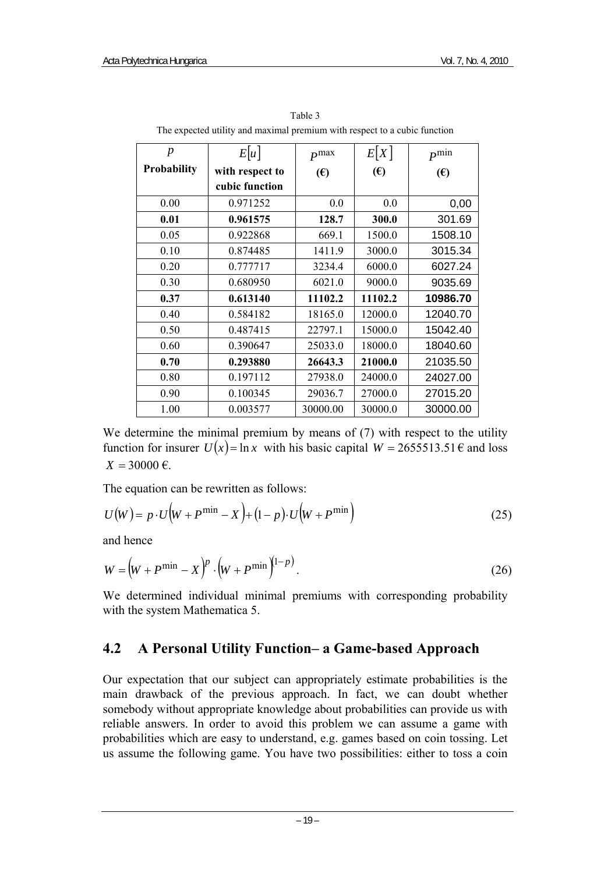| $\boldsymbol{p}$   | E u             | $P^{max}$    | E[X]       | $P^{\min}$ |
|--------------------|-----------------|--------------|------------|------------|
| <b>Probability</b> | with respect to | $(\epsilon)$ | $\epsilon$ | $\epsilon$ |
|                    | cubic function  |              |            |            |
| 0.00               | 0.971252        | 0.0          | 0.0        | 0,00       |
| 0.01               | 0.961575        | 128.7        | 300.0      | 301.69     |
| 0.05               | 0.922868        | 669.1        | 1500.0     | 1508.10    |
| 0.10               | 0.874485        | 1411.9       | 3000.0     | 3015.34    |
| 0.20               | 0.777717        | 3234.4       | 6000.0     | 6027.24    |
| 0.30               | 0.680950        | 6021.0       | 9000.0     | 9035.69    |
| 0.37               | 0.613140        | 11102.2      | 11102.2    | 10986.70   |
| 0.40               | 0.584182        | 18165.0      | 12000.0    | 12040.70   |
| 0.50               | 0.487415        | 22797.1      | 15000.0    | 15042.40   |
| 0.60               | 0.390647        | 25033.0      | 18000.0    | 18040.60   |
| 0.70               | 0.293880        | 26643.3      | 21000.0    | 21035.50   |
| 0.80               | 0.197112        | 27938.0      | 24000.0    | 24027.00   |
| 0.90               | 0.100345        | 29036.7      | 27000.0    | 27015.20   |
| 1.00               | 0.003577        | 30000.00     | 30000.0    | 30000.00   |

Table 3 The expected utility and maximal premium with respect to a cubic function

We determine the minimal premium by means of (7) with respect to the utility function for insurer  $U(x) = \ln x$  with his basic capital  $W = 2655513.51 \text{ E}$  and loss  $X = 30000 \text{ } \infty$ .

The equation can be rewritten as follows:

$$
U(W) = p \cdot U(W + P^{\min} - X) + (1 - p) \cdot U(W + P^{\min})
$$
\n(25)

and hence

$$
W = (W + P^{\min} - X)^p \cdot (W + P^{\min})^{(1-p)}.
$$
 (26)

We determined individual minimal premiums with corresponding probability with the system Mathematica 5.

#### **4.2 A Personal Utility Function– a Game-based Approach**

Our expectation that our subject can appropriately estimate probabilities is the main drawback of the previous approach. In fact, we can doubt whether somebody without appropriate knowledge about probabilities can provide us with reliable answers. In order to avoid this problem we can assume a game with probabilities which are easy to understand, e.g. games based on coin tossing. Let us assume the following game. You have two possibilities: either to toss a coin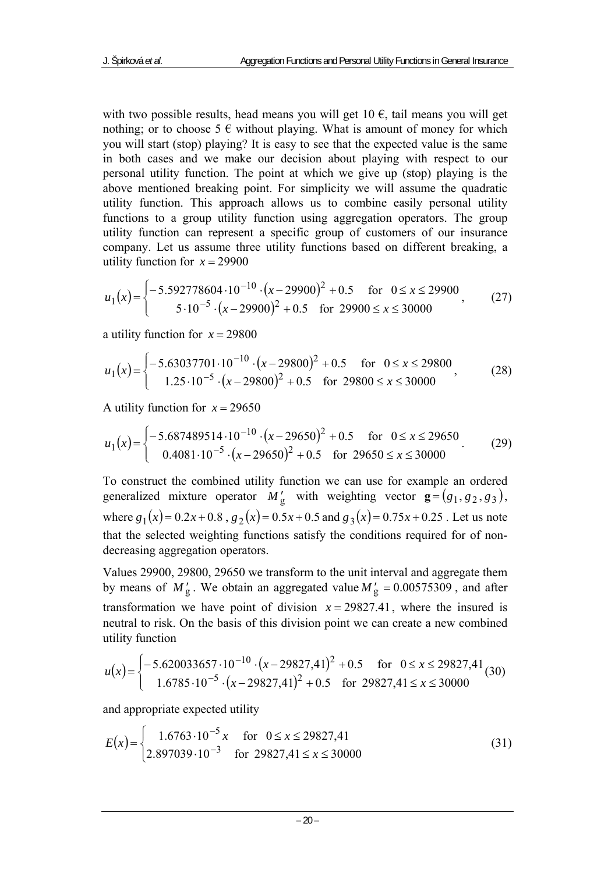with two possible results, head means you will get  $10 \text{ } \epsilon$ , tail means you will get nothing; or to choose 5  $\epsilon$  without playing. What is amount of money for which you will start (stop) playing? It is easy to see that the expected value is the same in both cases and we make our decision about playing with respect to our personal utility function. The point at which we give up (stop) playing is the above mentioned breaking point. For simplicity we will assume the quadratic utility function. This approach allows us to combine easily personal utility functions to a group utility function using aggregation operators. The group utility function can represent a specific group of customers of our insurance company. Let us assume three utility functions based on different breaking, a utility function for  $x = 29900$ 

$$
u_1(x) = \begin{cases} -5.592778604 \cdot 10^{-10} \cdot (x - 29900)^2 + 0.5 & \text{for } 0 \le x \le 29900\\ 5 \cdot 10^{-5} \cdot (x - 29900)^2 + 0.5 & \text{for } 29900 \le x \le 30000 \end{cases} \tag{27}
$$

a utility function for  $x = 29800$ 

$$
u_1(x) = \begin{cases} -5.63037701 \cdot 10^{-10} \cdot (x - 29800)^2 + 0.5 & \text{for } 0 \le x \le 29800\\ 1.25 \cdot 10^{-5} \cdot (x - 29800)^2 + 0.5 & \text{for } 29800 \le x \le 30000 \end{cases} \tag{28}
$$

A utility function for  $x = 29650$ 

$$
u_1(x) = \begin{cases} -5.687489514 \cdot 10^{-10} \cdot (x - 29650)^2 + 0.5 & \text{for } 0 \le x \le 29650\\ 0.4081 \cdot 10^{-5} \cdot (x - 29650)^2 + 0.5 & \text{for } 29650 \le x \le 30000 \end{cases} \tag{29}
$$

To construct the combined utility function we can use for example an ordered generalized mixture operator  $M'_g$  with weighting vector  $\mathbf{g} = (g_1, g_2, g_3)$ , where  $g_1(x) = 0.2x + 0.8$ ,  $g_2(x) = 0.5x + 0.5$  and  $g_3(x) = 0.75x + 0.25$ . Let us note that the selected weighting functions satisfy the conditions required for of nondecreasing aggregation operators.

Values 29900, 29800, 29650 we transform to the unit interval and aggregate them by means of  $M'_g$ . We obtain an aggregated value  $M'_g = 0.00575309$ , and after transformation we have point of division  $x = 29827.41$ , where the insured is neutral to risk. On the basis of this division point we can create a new combined utility function

$$
u(x) = \begin{cases} -5.620033657 \cdot 10^{-10} \cdot (x - 29827.41)^2 + 0.5 & \text{for } 0 \le x \le 29827.41\\ 1.6785 \cdot 10^{-5} \cdot (x - 29827.41)^2 + 0.5 & \text{for } 29827.41 \le x \le 30000 \end{cases} \tag{30}
$$

and appropriate expected utility

$$
E(x) = \begin{cases} 1.6763 \cdot 10^{-5} x & \text{for } 0 \le x \le 29827,41\\ 2.897039 \cdot 10^{-3} & \text{for } 29827,41 \le x \le 30000 \end{cases}
$$
(31)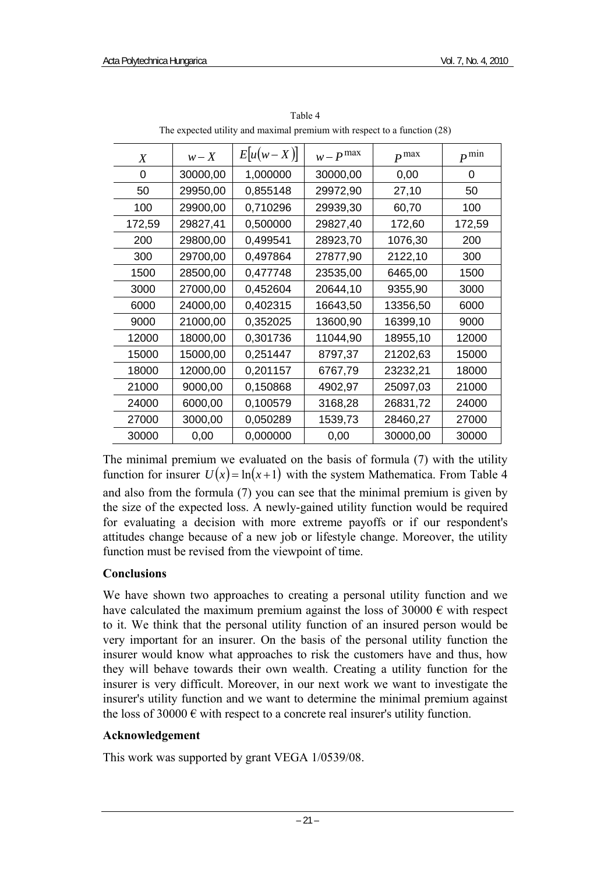| X      | $w - X$  | $E[u(w-X)]$ | $w - P$ <sup>max</sup> | $P^{max}$ | $P^{\min}$ |
|--------|----------|-------------|------------------------|-----------|------------|
| 0      | 30000,00 | 1,000000    | 30000,00               | 0,00      | 0          |
| 50     | 29950,00 | 0,855148    | 29972,90               | 27,10     | 50         |
| 100    | 29900,00 | 0,710296    | 29939,30               | 60,70     | 100        |
| 172,59 | 29827,41 | 0,500000    | 29827,40               | 172,60    | 172,59     |
| 200    | 29800,00 | 0,499541    | 28923,70               | 1076,30   | 200        |
| 300    | 29700,00 | 0,497864    | 27877,90               | 2122,10   | 300        |
| 1500   | 28500,00 | 0,477748    | 23535,00               | 6465,00   | 1500       |
| 3000   | 27000,00 | 0,452604    | 20644,10               | 9355,90   | 3000       |
| 6000   | 24000,00 | 0,402315    | 16643,50               | 13356,50  | 6000       |
| 9000   | 21000,00 | 0.352025    | 13600,90               | 16399,10  | 9000       |
| 12000  | 18000,00 | 0,301736    | 11044,90               | 18955,10  | 12000      |
| 15000  | 15000,00 | 0,251447    | 8797,37                | 21202,63  | 15000      |
| 18000  | 12000,00 | 0,201157    | 6767,79                | 23232,21  | 18000      |
| 21000  | 9000,00  | 0,150868    | 4902,97                | 25097,03  | 21000      |
| 24000  | 6000,00  | 0.100579    | 3168,28                | 26831,72  | 24000      |
| 27000  | 3000,00  | 0,050289    | 1539,73                | 28460,27  | 27000      |
| 30000  | 0,00     | 0,000000    | 0,00                   | 30000,00  | 30000      |

Table 4 The expected utility and maximal premium with respect to a function (28)

The minimal premium we evaluated on the basis of formula (7) with the utility function for insurer  $U(x) = \ln(x+1)$  with the system Mathematica. From Table 4 and also from the formula (7) you can see that the minimal premium is given by the size of the expected loss. A newly-gained utility function would be required for evaluating a decision with more extreme payoffs or if our respondent's attitudes change because of a new job or lifestyle change. Moreover, the utility function must be revised from the viewpoint of time.

#### **Conclusions**

We have shown two approaches to creating a personal utility function and we have calculated the maximum premium against the loss of 30000  $\epsilon$  with respect to it. We think that the personal utility function of an insured person would be very important for an insurer. On the basis of the personal utility function the insurer would know what approaches to risk the customers have and thus, how they will behave towards their own wealth. Creating a utility function for the insurer is very difficult. Moreover, in our next work we want to investigate the insurer's utility function and we want to determine the minimal premium against the loss of 30000  $\epsilon$  with respect to a concrete real insurer's utility function.

#### **Acknowledgement**

This work was supported by grant VEGA 1/0539/08.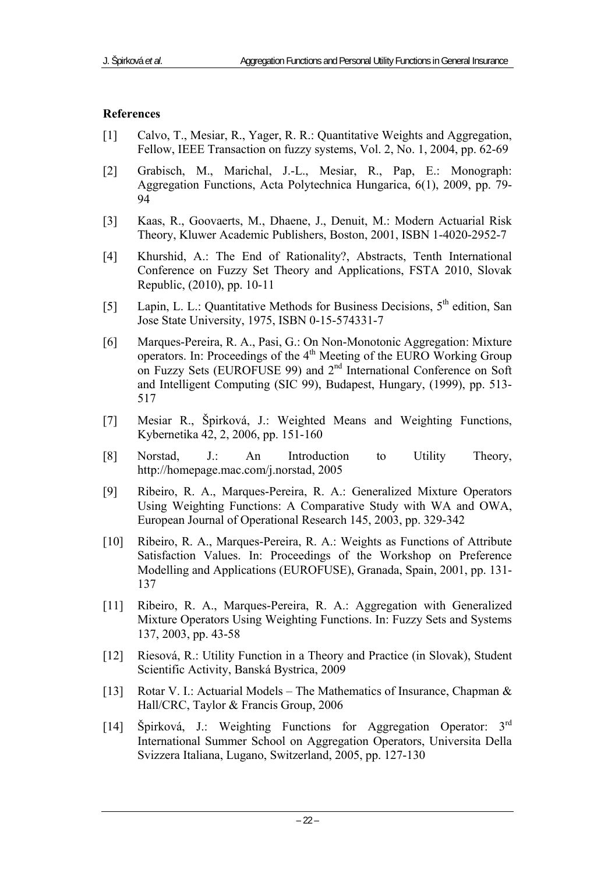#### **References**

- [1] Calvo, T., Mesiar, R., Yager, R. R.: Quantitative Weights and Aggregation, Fellow, IEEE Transaction on fuzzy systems, Vol. 2, No. 1, 2004, pp. 62-69
- [2] Grabisch, M., Marichal, J.-L., Mesiar, R., Pap, E.: Monograph: Aggregation Functions, Acta Polytechnica Hungarica, 6(1), 2009, pp. 79- 94
- [3] Kaas, R., Goovaerts, M., Dhaene, J., Denuit, M.: Modern Actuarial Risk Theory, Kluwer Academic Publishers, Boston, 2001, ISBN 1-4020-2952-7
- [4] Khurshid, A.: The End of Rationality?, Abstracts, Tenth International Conference on Fuzzy Set Theory and Applications, FSTA 2010, Slovak Republic, (2010), pp. 10-11
- [5] Lapin, L. L.: Quantitative Methods for Business Decisions,  $5<sup>th</sup>$  edition, San Jose State University, 1975, ISBN 0-15-574331-7
- [6] Marques-Pereira, R. A., Pasi, G.: On Non-Monotonic Aggregation: Mixture operators. In: Proceedings of the 4th Meeting of the EURO Working Group on Fuzzy Sets (EUROFUSE 99) and 2<sup>nd</sup> International Conference on Soft and Intelligent Computing (SIC 99), Budapest, Hungary, (1999), pp. 513- 517
- [7] Mesiar R., Špirková, J.: Weighted Means and Weighting Functions, Kybernetika 42, 2, 2006, pp. 151-160
- [8] Norstad, J.: An Introduction to Utility Theory, http://homepage.mac.com/j.norstad, 2005
- [9] Ribeiro, R. A., Marques-Pereira, R. A.: Generalized Mixture Operators Using Weighting Functions: A Comparative Study with WA and OWA, European Journal of Operational Research 145, 2003, pp. 329-342
- [10] Ribeiro, R. A., Marques-Pereira, R. A.: Weights as Functions of Attribute Satisfaction Values. In: Proceedings of the Workshop on Preference Modelling and Applications (EUROFUSE), Granada, Spain, 2001, pp. 131- 137
- [11] Ribeiro, R. A., Marques-Pereira, R. A.: Aggregation with Generalized Mixture Operators Using Weighting Functions. In: Fuzzy Sets and Systems 137, 2003, pp. 43-58
- [12] Riesová, R.: Utility Function in a Theory and Practice (in Slovak), Student Scientific Activity, Banská Bystrica, 2009
- [13] Rotar V. I.: Actuarial Models The Mathematics of Insurance, Chapman & Hall/CRC, Taylor & Francis Group, 2006
- [14] Špirková, J.: Weighting Functions for Aggregation Operator: 3rd International Summer School on Aggregation Operators, Universita Della Svizzera Italiana, Lugano, Switzerland, 2005, pp. 127-130